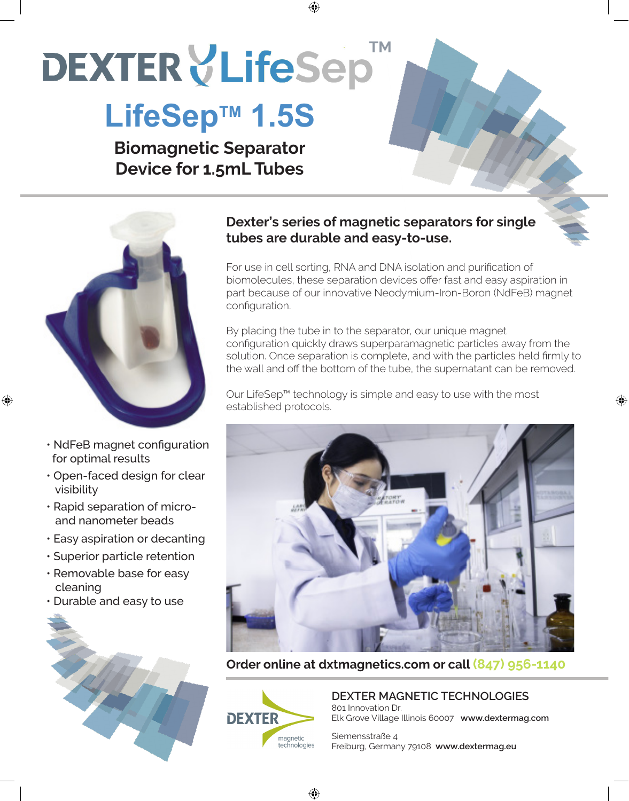# **DEXTER VLifeSep**

### LifeSep<sup>™</sup> 1.5S

**Biomagnetic Separator Device for 1.5mL Tubes**



• NdFeB magnet configuration for optimal results

♠

- Open-faced design for clear visibility
- Rapid separation of micro and nanometer beads
- Easy aspiration or decanting
- Superior particle retention
- Removable base for easy cleaning
- Durable and easy to use



#### **Dexter's series of magnetic separators for single tubes are durable and easy-to-use.**

⊕

For use in cell sorting, RNA and DNA isolation and purification of biomolecules, these separation devices offer fast and easy aspiration in part because of our innovative Neodymium-Iron-Boron (NdFeB) magnet configuration.

By placing the tube in to the separator, our unique magnet configuration quickly draws superparamagnetic particles away from the solution. Once separation is complete, and with the particles held firmly to the wall and off the bottom of the tube, the supernatant can be removed.

⊕

Our LifeSep™ technology is simple and easy to use with the most established protocols.



**Order online at dxtmagnetics.com or call (847) 956-1140**



**DEXTER MAGNETIC TECHNOLOGIES** 801 Innovation Dr. Elk Grove Village Illinois 60007 **www.dextermag.com**

Siemensstraße 4 Freiburg, Germany 79108 **www.dextermag.eu**

♠